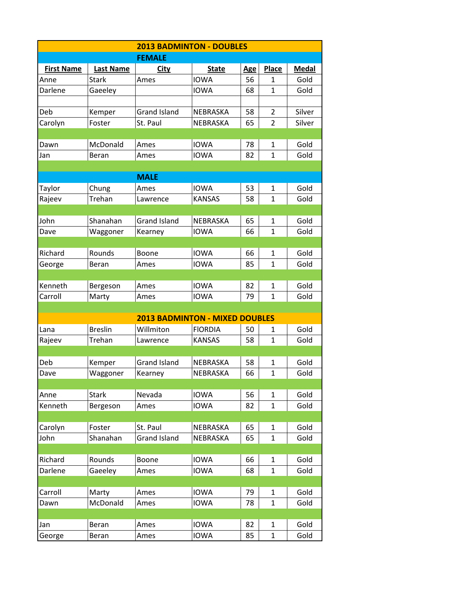| <b>2013 BADMINTON - DOUBLES</b> |                  |                                       |                |            |                |              |  |  |  |
|---------------------------------|------------------|---------------------------------------|----------------|------------|----------------|--------------|--|--|--|
|                                 |                  | <b>FEMALE</b>                         |                |            |                |              |  |  |  |
| <b>First Name</b>               | <b>Last Name</b> | <u>City</u>                           | <b>State</b>   | <b>Age</b> | <b>Place</b>   | <b>Medal</b> |  |  |  |
| Anne                            | <b>Stark</b>     | Ames                                  | <b>IOWA</b>    | 56         | 1              | Gold         |  |  |  |
| Darlene                         | Gaeeley          |                                       | <b>IOWA</b>    | 68         | 1              | Gold         |  |  |  |
|                                 |                  |                                       |                |            |                |              |  |  |  |
| Deb                             | Kemper           | <b>Grand Island</b>                   | NEBRASKA       | 58         | $\overline{2}$ | Silver       |  |  |  |
| Carolyn                         | Foster           | St. Paul                              | NEBRASKA       | 65         | $\overline{2}$ | Silver       |  |  |  |
|                                 |                  |                                       |                |            |                |              |  |  |  |
| Dawn                            | McDonald         | Ames                                  | <b>IOWA</b>    | 78         | $\mathbf{1}$   | Gold         |  |  |  |
| Jan                             | Beran            | Ames                                  | <b>IOWA</b>    | 82         | 1              | Gold         |  |  |  |
|                                 |                  |                                       |                |            |                |              |  |  |  |
|                                 |                  | <b>MALE</b>                           |                |            |                |              |  |  |  |
| Taylor                          | Chung            | Ames                                  | <b>IOWA</b>    | 53         | 1              | Gold         |  |  |  |
| Rajeev                          | Trehan           | Lawrence                              | <b>KANSAS</b>  | 58         | 1              | Gold         |  |  |  |
|                                 |                  |                                       |                |            |                |              |  |  |  |
| John                            | Shanahan         | <b>Grand Island</b>                   | NEBRASKA       | 65         | $\mathbf{1}$   | Gold         |  |  |  |
| Dave                            | Waggoner         | Kearney                               | <b>IOWA</b>    | 66         | 1              | Gold         |  |  |  |
|                                 |                  |                                       |                |            |                |              |  |  |  |
| Richard                         | Rounds           | Boone                                 | <b>IOWA</b>    | 66         | 1              | Gold         |  |  |  |
| George                          | Beran            | Ames                                  | <b>IOWA</b>    | 85         | $\mathbf{1}$   | Gold         |  |  |  |
|                                 |                  |                                       |                |            |                |              |  |  |  |
| Kenneth                         | Bergeson         | Ames                                  | <b>IOWA</b>    | 82         | 1              | Gold         |  |  |  |
| Carroll                         | Marty            | Ames                                  | <b>IOWA</b>    | 79         | 1              | Gold         |  |  |  |
|                                 |                  |                                       |                |            |                |              |  |  |  |
|                                 |                  | <b>2013 BADMINTON - MIXED DOUBLES</b> |                |            |                |              |  |  |  |
| Lana                            | <b>Breslin</b>   | Willmiton                             | <b>FIORDIA</b> | 50         | 1              | Gold         |  |  |  |
| Rajeev                          | Trehan           | Lawrence                              | <b>KANSAS</b>  | 58         | 1              | Gold         |  |  |  |
|                                 |                  |                                       |                |            |                |              |  |  |  |
| Deb                             | Kemper           | <b>Grand Island</b>                   | NEBRASKA       | 58         | $\mathbf{1}$   | Gold         |  |  |  |
| Dave                            | Waggoner         | Kearney                               | NEBRASKA       | 66         | $\mathbf 1$    | Gold         |  |  |  |
|                                 |                  |                                       |                |            |                |              |  |  |  |
| Anne                            | <b>Stark</b>     | Nevada                                | <b>IOWA</b>    | 56         | $\mathbf{1}$   | Gold         |  |  |  |
| Kenneth                         | Bergeson         | Ames                                  | <b>IOWA</b>    | 82         | 1              | Gold         |  |  |  |
|                                 |                  |                                       |                |            |                |              |  |  |  |
| Carolyn                         | Foster           | St. Paul                              | NEBRASKA       | 65         | 1              | Gold         |  |  |  |
| John                            | Shanahan         | <b>Grand Island</b>                   | NEBRASKA       | 65         | 1              | Gold         |  |  |  |
|                                 |                  |                                       |                |            |                |              |  |  |  |
| Richard                         | Rounds           | Boone                                 | <b>IOWA</b>    | 66         | 1              | Gold         |  |  |  |
| Darlene                         | Gaeeley          | Ames                                  | <b>IOWA</b>    | 68         | $\mathbf{1}$   | Gold         |  |  |  |
|                                 |                  |                                       |                |            |                |              |  |  |  |
| Carroll                         | Marty            | Ames                                  | <b>IOWA</b>    | 79         | $\mathbf{1}$   | Gold         |  |  |  |
| Dawn                            | McDonald         | Ames                                  | <b>IOWA</b>    | 78         | 1              | Gold         |  |  |  |
|                                 |                  |                                       |                |            |                |              |  |  |  |
| Jan                             | Beran            | Ames                                  | <b>IOWA</b>    | 82         | $\mathbf{1}$   | Gold         |  |  |  |
| George                          | Beran            | Ames                                  | <b>IOWA</b>    | 85         | $\mathbf{1}$   | Gold         |  |  |  |
|                                 |                  |                                       |                |            |                |              |  |  |  |